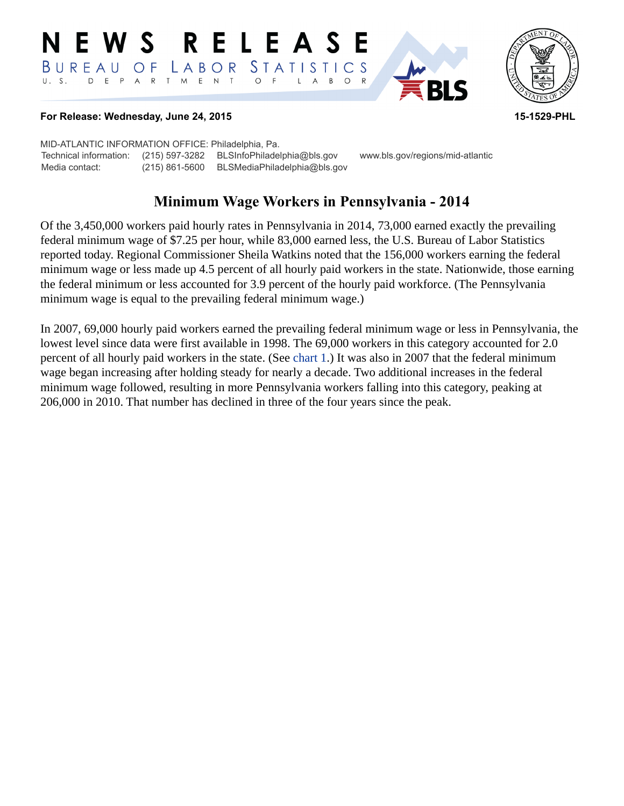#### E W S **RELEASE** *STATISTICS* BUREAU O F LABOR D E P A R T M E N T  $\circ$  $U. S.$  $\overline{F}$  $B$  $\circ$  $\mathsf{L}$  $\overline{A}$



## **For Release: Wednesday, June 24, 2015 15-1529-PHL**

MID-ATLANTIC INFORMATION OFFICE: Philadelphia, Pa. Technical information: (215) 597-3282 BLSInfoPhiladelphia@bls.gov www.bls.gov/regions/mid-atlantic Media contact: (215) 861-5600 BLSMediaPhiladelphia@bls.gov

# **Minimum Wage Workers in Pennsylvania - 2014**

Of the 3,450,000 workers paid hourly rates in Pennsylvania in 2014, 73,000 earned exactly the prevailing federal minimum wage of \$7.25 per hour, while 83,000 earned less, the U.S. Bureau of Labor Statistics reported today. Regional Commissioner Sheila Watkins noted that the 156,000 workers earning the federal minimum wage or less made up 4.5 percent of all hourly paid workers in the state. Nationwide, those earning the federal minimum or less accounted for 3.9 percent of the hourly paid workforce. (The Pennsylvania minimum wage is equal to the prevailing federal minimum wage.)

<span id="page-0-0"></span>In 2007, 69,000 hourly paid workers earned the prevailing federal minimum wage or less in Pennsylvania, the lowest level since data were first available in 1998. The 69,000 workers in this category accounted for 2.0 percent of all hourly paid workers in the state. (See [chart 1.](#page-0-0)) It was also in 2007 that the federal minimum wage began increasing after holding steady for nearly a decade. Two additional increases in the federal minimum wage followed, resulting in more Pennsylvania workers falling into this category, peaking at 206,000 in 2010. That number has declined in three of the four years since the peak.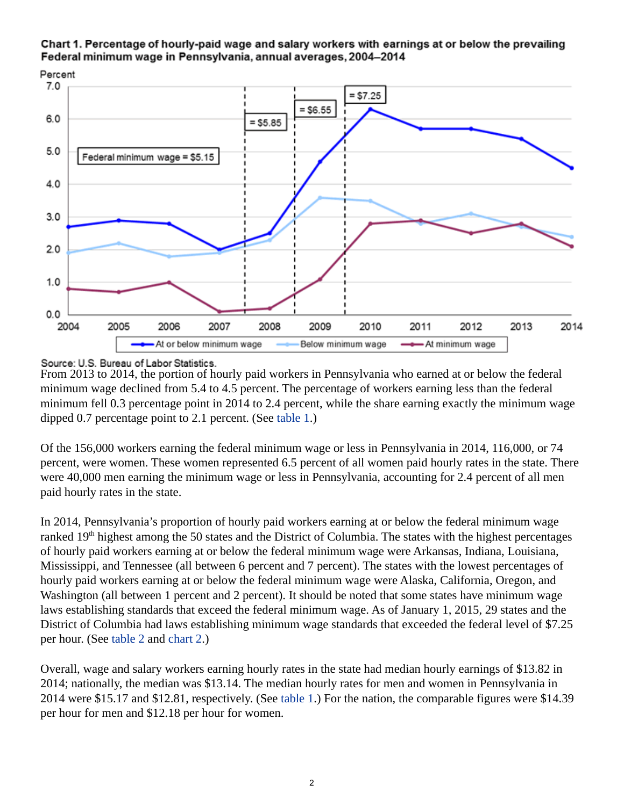





From 2013 to 2014, the portion of hourly paid workers in Pennsylvania who earned at or below the federal minimum wage declined from 5.4 to 4.5 percent. The percentage of workers earning less than the federal minimum fell 0.3 percentage point in 2014 to 2.4 percent, while the share earning exactly the minimum wage dipped 0.7 percentage point to 2.1 percent. (See [table 1](#page-4-0).)

Of the 156,000 workers earning the federal minimum wage or less in Pennsylvania in 2014, 116,000, or 74 percent, were women. These women represented 6.5 percent of all women paid hourly rates in the state. There were 40,000 men earning the minimum wage or less in Pennsylvania, accounting for 2.4 percent of all men paid hourly rates in the state.

In 2014, Pennsylvania's proportion of hourly paid workers earning at or below the federal minimum wage ranked  $19<sup>th</sup>$  highest among the 50 states and the District of Columbia. The states with the highest percentages of hourly paid workers earning at or below the federal minimum wage were Arkansas, Indiana, Louisiana, Mississippi, and Tennessee (all between 6 percent and 7 percent). The states with the lowest percentages of hourly paid workers earning at or below the federal minimum wage were Alaska, California, Oregon, and Washington (all between 1 percent and 2 percent). It should be noted that some states have minimum wage laws establishing standards that exceed the federal minimum wage. As of January 1, 2015, 29 states and the District of Columbia had laws establishing minimum wage standards that exceeded the federal level of \$7.25 per hour. (See [table 2](#page-5-0) and [chart 2](#page-1-0).)

<span id="page-1-0"></span>Overall, wage and salary workers earning hourly rates in the state had median hourly earnings of \$13.82 in 2014; nationally, the median was \$13.14. The median hourly rates for men and women in Pennsylvania in 2014 were \$15.17 and \$12.81, respectively. (See [table 1](#page-4-0).) For the nation, the comparable figures were \$14.39 per hour for men and \$12.18 per hour for women.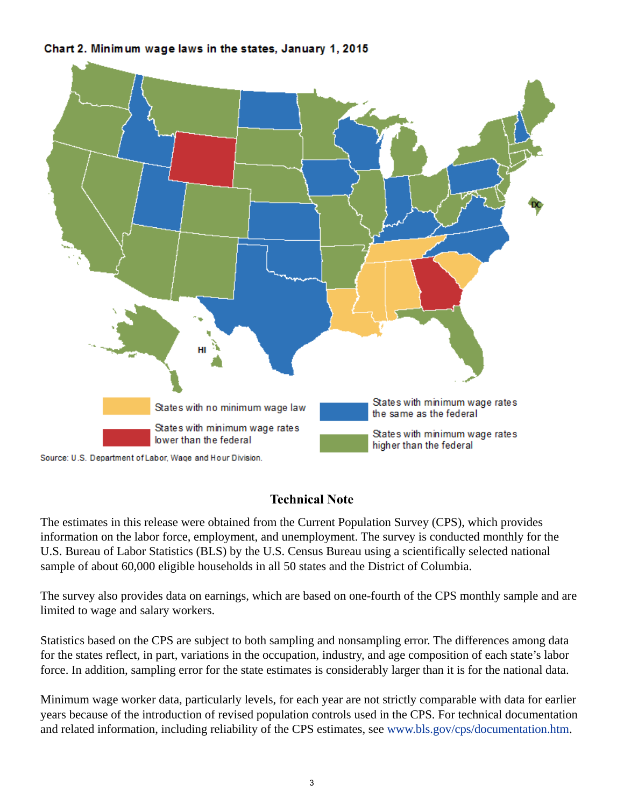Chart 2. Minimum wage laws in the states, January 1, 2015



## **Technical Note**

The estimates in this release were obtained from the Current Population Survey (CPS), which provides information on the labor force, employment, and unemployment. The survey is conducted monthly for the U.S. Bureau of Labor Statistics (BLS) by the U.S. Census Bureau using a scientifically selected national sample of about 60,000 eligible households in all 50 states and the District of Columbia.

The survey also provides data on earnings, which are based on one-fourth of the CPS monthly sample and are limited to wage and salary workers.

Statistics based on the CPS are subject to both sampling and nonsampling error. The differences among data for the states reflect, in part, variations in the occupation, industry, and age composition of each state's labor force. In addition, sampling error for the state estimates is considerably larger than it is for the national data.

Minimum wage worker data, particularly levels, for each year are not strictly comparable with data for earlier years because of the introduction of revised population controls used in the CPS. For technical documentation and related information, including reliability of the CPS estimates, see [www.bls.gov/cps/documentation.htm.](https://www.bls.gov/cps/documentation.htm)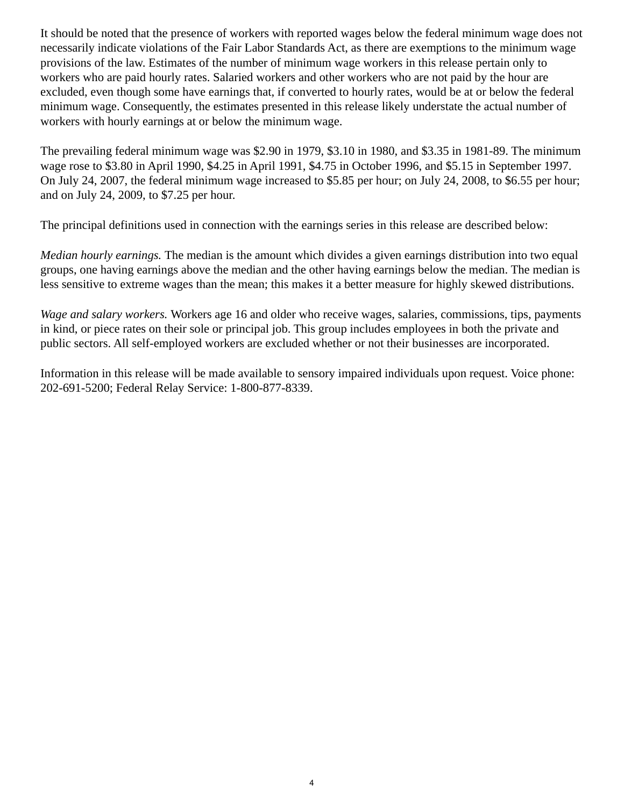It should be noted that the presence of workers with reported wages below the federal minimum wage does not necessarily indicate violations of the Fair Labor Standards Act, as there are exemptions to the minimum wage provisions of the law. Estimates of the number of minimum wage workers in this release pertain only to workers who are paid hourly rates. Salaried workers and other workers who are not paid by the hour are excluded, even though some have earnings that, if converted to hourly rates, would be at or below the federal minimum wage. Consequently, the estimates presented in this release likely understate the actual number of workers with hourly earnings at or below the minimum wage.

The prevailing federal minimum wage was \$2.90 in 1979, \$3.10 in 1980, and \$3.35 in 1981-89. The minimum wage rose to \$3.80 in April 1990, \$4.25 in April 1991, \$4.75 in October 1996, and \$5.15 in September 1997. On July 24, 2007, the federal minimum wage increased to \$5.85 per hour; on July 24, 2008, to \$6.55 per hour; and on July 24, 2009, to \$7.25 per hour.

The principal definitions used in connection with the earnings series in this release are described below:

*Median hourly earnings.* The median is the amount which divides a given earnings distribution into two equal groups, one having earnings above the median and the other having earnings below the median. The median is less sensitive to extreme wages than the mean; this makes it a better measure for highly skewed distributions.

*Wage and salary workers.* Workers age 16 and older who receive wages, salaries, commissions, tips, payments in kind, or piece rates on their sole or principal job. This group includes employees in both the private and public sectors. All self-employed workers are excluded whether or not their businesses are incorporated.

Information in this release will be made available to sensory impaired individuals upon request. Voice phone: 202-691-5200; Federal Relay Service: 1-800-877-8339.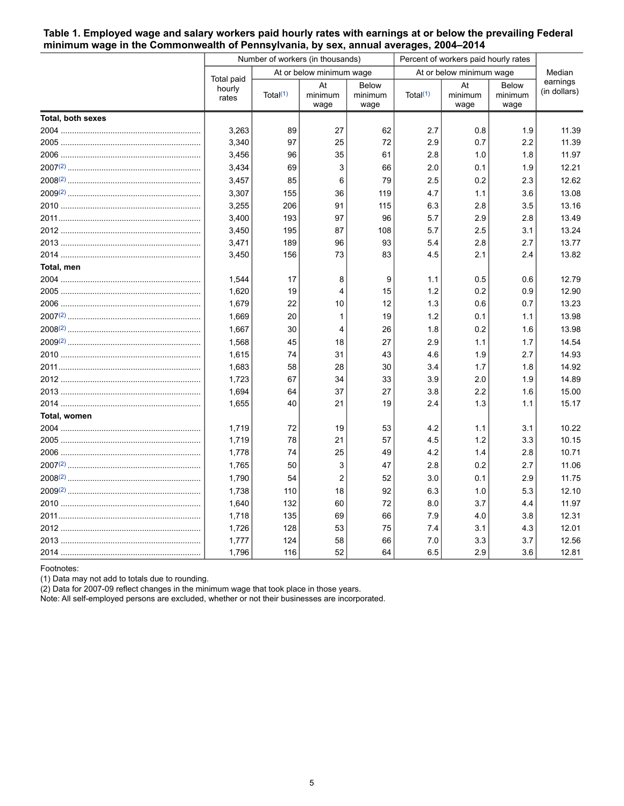## <span id="page-4-0"></span>**Table 1. Employed wage and salary workers paid hourly rates with earnings at or below the prevailing Federal minimum wage in the Commonwealth of Pennsylvania, by sex, annual averages, 2004–2014**

|                   |                               |                      | Number of workers (in thousands) |                                 | Percent of workers paid hourly rates | Median                |                                 |                          |
|-------------------|-------------------------------|----------------------|----------------------------------|---------------------------------|--------------------------------------|-----------------------|---------------------------------|--------------------------|
|                   |                               |                      | At or below minimum wage         |                                 | At or below minimum wage             |                       |                                 |                          |
|                   | Total paid<br>hourly<br>rates | Total <sup>(1)</sup> | At<br>minimum<br>wage            | <b>Below</b><br>minimum<br>wage | Total $(1)$                          | At<br>minimum<br>wage | <b>Below</b><br>minimum<br>wage | earnings<br>(in dollars) |
| Total, both sexes |                               |                      |                                  |                                 |                                      |                       |                                 |                          |
|                   | 3,263                         | 89                   | 27                               | 62                              | 2.7                                  | 0.8                   | 1.9                             | 11.39                    |
|                   | 3,340                         | 97                   | 25                               | 72                              | 2.9                                  | 0.7                   | 2.2                             | 11.39                    |
|                   | 3,456                         | 96                   | 35                               | 61                              | 2.8                                  | 1.0                   | 1.8                             | 11.97                    |
|                   | 3,434                         | 69                   | 3                                | 66                              | 2.0                                  | 0.1                   | 1.9                             | 12.21                    |
|                   | 3,457                         | 85                   | 6                                | 79                              | 2.5                                  | 0.2                   | 2.3                             | 12.62                    |
|                   | 3,307                         | 155                  | 36                               | 119                             | 4.7                                  | 1.1                   | 3.6                             | 13.08                    |
|                   | 3,255                         | 206                  | 91                               | 115                             | 6.3                                  | 2.8                   | 3.5                             | 13.16                    |
|                   | 3,400                         | 193                  | 97                               | 96                              | 5.7                                  | 2.9                   | 2.8                             | 13.49                    |
|                   | 3,450                         | 195                  | 87                               | 108                             | 5.7                                  | 2.5                   | 3.1                             | 13.24                    |
|                   | 3,471                         | 189                  | 96                               | 93                              | 5.4                                  | 2.8                   | 2.7                             | 13.77                    |
|                   | 3,450                         | 156                  | 73                               | 83                              | 4.5                                  | 2.1                   | 2.4                             | 13.82                    |
| Total, men        |                               |                      |                                  |                                 |                                      |                       |                                 |                          |
|                   | 1,544                         | 17                   | 8                                | 9                               | 1.1                                  | 0.5                   | 0.6                             | 12.79                    |
|                   | 1,620                         | 19                   | 4                                | 15                              | 1.2                                  | 0.2                   | 0.9                             | 12.90                    |
|                   | 1,679                         | 22                   | 10                               | 12                              | 1.3                                  | 0.6                   | 0.7                             | 13.23                    |
|                   | 1,669                         | 20                   | 1                                | 19                              | 1.2                                  | 0.1                   | 1.1                             | 13.98                    |
|                   | 1.667                         | 30                   | 4                                | 26                              | 1.8                                  | 0.2                   | 1.6                             | 13.98                    |
|                   | 1,568                         | 45                   | 18                               | 27                              | 2.9                                  | 1.1                   | 1.7                             | 14.54                    |
|                   | 1,615                         | 74                   | 31                               | 43                              | 4.6                                  | 1.9                   | 2.7                             | 14.93                    |
|                   | 1,683                         | 58                   | 28                               | 30                              | 3.4                                  | 1.7                   | 1.8                             | 14.92                    |
|                   | 1,723                         | 67                   | 34                               | 33                              | 3.9                                  | 2.0                   | 1.9                             | 14.89                    |
|                   | 1,694                         | 64                   | 37                               | 27                              | 3.8                                  | 2.2                   | 1.6                             | 15.00                    |
|                   | 1,655                         | 40                   | 21                               | 19                              | 2.4                                  | 1.3                   | 1.1                             | 15.17                    |
| Total, women      |                               |                      |                                  |                                 |                                      |                       |                                 |                          |
|                   | 1,719                         | 72                   | 19                               | 53                              | 4.2                                  | 1.1                   | 3.1                             | 10.22                    |
|                   | 1,719                         | 78                   | 21                               | 57                              | 4.5                                  | 1.2                   | 3.3                             | 10.15                    |
|                   | 1,778                         | 74                   | 25                               | 49                              | 4.2                                  | 1.4                   | 2.8                             | 10.71                    |
|                   | 1,765                         | 50                   | 3                                | 47                              | 2.8                                  | 0.2                   | 2.7                             | 11.06                    |
|                   | 1,790                         | 54                   | $\overline{c}$                   | 52                              | 3.0                                  | 0.1                   | 2.9                             | 11.75                    |
|                   | 1,738                         | 110                  | 18                               | 92                              | 6.3                                  | 1.0                   | 5.3                             | 12.10                    |
|                   | 1,640                         | 132                  | 60                               | 72                              | 8.0                                  | 3.7                   | 4.4                             | 11.97                    |
|                   | 1,718                         | 135                  | 69                               | 66                              | 7.9                                  | 4.0                   | 3.8                             | 12.31                    |
|                   | 1,726                         | 128                  | 53                               | 75                              | 7.4                                  | 3.1                   | 4.3                             | 12.01                    |
|                   | 1,777                         | 124                  | 58                               | 66                              | 7.0                                  | 3.3                   | 3.7                             | 12.56                    |
|                   | 1,796                         | 116                  | 52                               | 64                              | 6.5                                  | 2.9                   | 3.6                             | 12.81                    |

<span id="page-4-1"></span>Footnotes:

(1) Data may not add to totals due to rounding.

(2) Data for 2007-09 reflect changes in the minimum wage that took place in those years.

Note: All self-employed persons are excluded, whether or not their businesses are incorporated.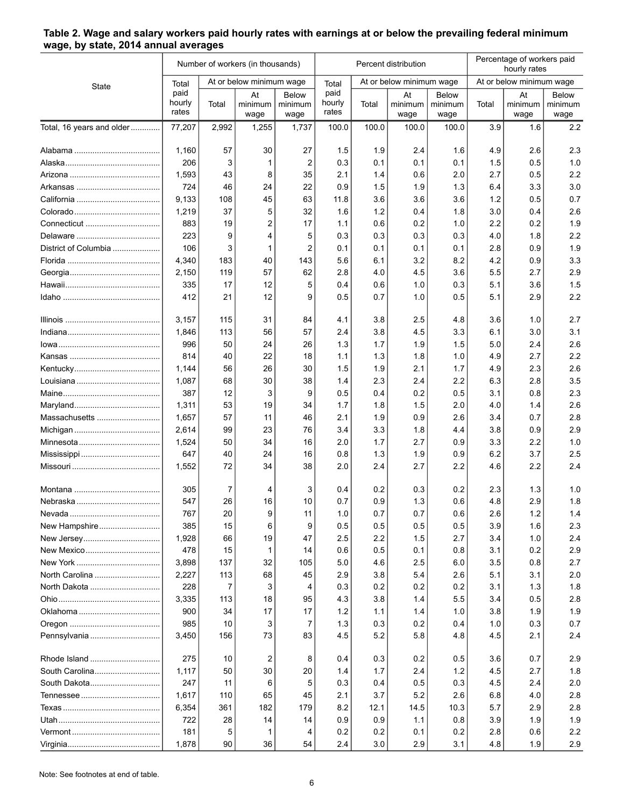|                           |                         |                | Number of workers (in thousands) |                                 | Percent distribution    |       |                          |                          | Percentage of workers paid<br>hourly rates |                       |                                 |
|---------------------------|-------------------------|----------------|----------------------------------|---------------------------------|-------------------------|-------|--------------------------|--------------------------|--------------------------------------------|-----------------------|---------------------------------|
| State                     | Total                   |                | At or below minimum wage         |                                 | Total                   |       | At or below minimum wage |                          | At or below minimum wage                   |                       |                                 |
|                           | paid<br>hourly<br>rates | Total          | At<br>minimum<br>wage            | <b>Below</b><br>minimum<br>wage | paid<br>hourly<br>rates | Total | At<br>minimum<br>wage    | Below<br>minimum<br>wage | Total                                      | At<br>minimum<br>wage | <b>Below</b><br>minimum<br>wage |
| Total, 16 years and older | 77,207                  | 2,992          | 1,255                            | 1,737                           | 100.0                   | 100.0 | 100.0                    | 100.0                    | 3.9                                        | 1.6                   | 2.2                             |
|                           | 1,160                   | 57             | 30                               | 27                              | 1.5                     | 1.9   | 2.4                      | 1.6                      | 4.9                                        | 2.6                   | 2.3                             |
|                           | 206                     | 3              | 1                                | $\overline{2}$                  | 0.3                     | 0.1   | 0.1                      | 0.1                      | 1.5                                        | 0.5                   | 1.0                             |
|                           | 1,593                   | 43             | 8                                | 35                              | 2.1                     | 1.4   | 0.6                      | 2.0                      | 2.7                                        | 0.5                   | 2.2                             |
|                           | 724                     | 46             | 24                               | 22                              | 0.9                     | 1.5   | 1.9                      | 1.3                      | 6.4                                        | 3.3                   | 3.0                             |
|                           | 9,133                   | 108            | 45                               | 63                              | 11.8                    | 3.6   | 3.6                      | 3.6                      | 1.2                                        | 0.5                   | 0.7                             |
|                           | 1,219                   | 37             | 5                                | 32                              | 1.6                     | 1.2   | 0.4                      | 1.8                      | 3.0                                        | 0.4                   | 2.6                             |
| Connecticut               | 883                     | 19             | 2                                | 17                              | 1.1                     | 0.6   | 0.2                      | 1.0                      | 2.2                                        | 0.2                   | 1.9                             |
|                           | 223                     | 9              | 4                                | 5                               | 0.3                     | 0.3   | 0.3                      | 0.3                      | 4.0                                        | 1.8                   | 2.2                             |
| District of Columbia      | 106                     | 3              | 1                                | $\overline{2}$                  | 0.1                     | 0.1   | 0.1                      | 0.1                      | 2.8                                        | 0.9                   | 1.9                             |
|                           | 4,340                   | 183            | 40                               | 143                             | 5.6                     | 6.1   | 3.2                      | 8.2                      | 4.2                                        | 0.9                   | 3.3                             |
|                           | 2,150                   | 119            | 57                               | 62                              | 2.8                     | 4.0   | 4.5                      | 3.6                      | 5.5                                        | 2.7                   | 2.9                             |
|                           | 335                     | 17             | 12                               | 5                               | 0.4                     | 0.6   | 1.0                      | 0.3                      | 5.1                                        | 3.6                   | 1.5                             |
|                           | 412                     | 21             | 12                               | 9                               | 0.5                     | 0.7   | 1.0                      | 0.5                      | 5.1                                        | 2.9                   | 2.2                             |
|                           | 3,157                   | 115            | 31                               | 84                              | 4.1                     | 3.8   | 2.5                      | 4.8                      | 3.6                                        | 1.0                   | 2.7                             |
|                           | 1,846                   | 113            | 56                               | 57                              | 2.4                     | 3.8   | 4.5                      | 3.3                      | 6.1                                        | 3.0                   | 3.1                             |
|                           | 996                     | 50             | 24                               | 26                              | 1.3                     | 1.7   | 1.9                      | 1.5                      | 5.0                                        | 2.4                   | 2.6                             |
|                           | 814                     | 40             | 22                               | 18                              | 1.1                     | 1.3   | 1.8                      | 1.0                      | 4.9                                        | 2.7                   | 2.2                             |
|                           | 1,144                   | 56             | 26                               | 30                              | 1.5                     | 1.9   | 2.1                      | 1.7                      | 4.9                                        | 2.3                   | 2.6                             |
|                           | 1,087                   | 68             | 30                               | 38                              | 1.4                     | 2.3   | 2.4                      | 2.2                      | 6.3                                        | 2.8                   | 3.5                             |
|                           | 387                     | 12             | 3                                | 9                               | 0.5                     | 0.4   | 0.2                      | 0.5                      | 3.1                                        | 0.8                   | 2.3                             |
|                           | 1,311                   | 53             | 19                               | 34                              | 1.7                     | 1.8   | 1.5                      | 2.0                      | 4.0                                        | 1.4                   | 2.6                             |
| Massachusetts             | 1,657                   | 57             | 11                               | 46                              | 2.1                     | 1.9   | 0.9                      | 2.6                      | 3.4                                        | 0.7                   | 2.8                             |
|                           | 2,614                   | 99             | 23                               | 76                              | 3.4                     | 3.3   | 1.8                      | 4.4                      | 3.8                                        | 0.9                   | 2.9                             |
|                           | 1,524                   | 50             | 34                               | 16                              | 2.0                     | 1.7   | 2.7                      | 0.9                      | 3.3                                        | 2.2                   | 1.0                             |
|                           | 647                     | 40             | 24                               | 16                              | 0.8                     | 1.3   | 1.9                      | 0.9                      | 6.2                                        | 3.7                   | 2.5                             |
|                           | 1,552                   | 72             | 34                               | 38                              | 2.0                     | 2.4   | 2.7                      | 2.2                      | 4.6                                        | 2.2                   | 2.4                             |
|                           | 305                     | 7              | 4                                | 3                               | 0.4                     | 0.2   | 0.3                      | 0.2                      | 2.3                                        | 1.3                   | 1.0                             |
|                           | 547                     | 26             | 16                               | 10                              | 0.7                     | 0.9   | 1.3                      | 0.6                      | 4.8                                        | 2.9                   | 1.8                             |
|                           | 767                     | 20             | 9                                | 11                              | 1.0                     | 0.7   | 0.7                      | 0.6                      | 2.6                                        | 1.2                   | 1.4                             |
| New Hampshire             | 385                     | 15             | 6                                | 9                               | 0.5                     | 0.5   | 0.5                      | 0.5                      | 3.9                                        | 1.6                   | 2.3                             |
|                           | 1,928                   | 66             | 19                               | 47                              | 2.5                     | 2.2   | 1.5                      | 2.7                      | 3.4                                        | 1.0                   | 2.4                             |
| New Mexico                | 478                     | 15             | -1                               | 14                              | 0.6                     | 0.5   | 0.1                      | 0.8                      | 3.1                                        | 0.2                   | 2.9                             |
|                           | 3,898                   | 137            | 32                               | 105                             | 5.0                     | 4.6   | 2.5                      | 6.0                      | 3.5                                        | 0.8                   | 2.7                             |
| North Carolina            | 2,227                   | 113            | 68                               | 45                              | 2.9                     | 3.8   | 5.4                      | 2.6                      | 5.1                                        | 3.1                   | 2.0                             |
| North Dakota              | 228                     | $\overline{7}$ | 3                                | 4                               | 0.3                     | 0.2   | 0.2                      | 0.2                      | 3.1                                        | 1.3                   | 1.8                             |
|                           | 3,335                   | 113            | 18                               | 95                              | 4.3                     | 3.8   | 1.4                      | 5.5                      | 3.4                                        | 0.5                   | 2.8                             |
|                           | 900                     | 34             | 17                               | 17                              | 1.2                     | 1.1   | 1.4                      | 1.0                      | 3.8                                        | 1.9                   | 1.9                             |
|                           | 985                     | 10             | 3                                | $\overline{7}$                  | 1.3                     | 0.3   | 0.2                      | 0.4                      | 1.0                                        | 0.3                   | 0.7                             |
| Pennsylvania              | 3,450                   | 156            | 73                               | 83                              | 4.5                     | 5.2   | 5.8                      | 4.8                      | 4.5                                        | 2.1                   | 2.4                             |
| Rhode Island              | 275                     | 10             | 2                                | 8                               | 0.4                     | 0.3   | 0.2                      | 0.5                      | 3.6                                        | 0.7                   | 2.9                             |
| South Carolina            | 1,117                   | 50             | 30                               | 20                              | 1.4                     | 1.7   | 2.4                      | 1.2                      | 4.5                                        | 2.7                   | 1.8                             |
| South Dakota              | 247                     | 11             | 6                                | 5                               | 0.3                     | 0.4   | 0.5                      | 0.3                      | 4.5                                        | 2.4                   | 2.0                             |
|                           | 1,617                   | 110            | 65                               | 45                              | 2.1                     | 3.7   | 5.2                      | 2.6                      | 6.8                                        | 4.0                   | 2.8                             |
|                           | 6,354                   | 361            | 182                              | 179                             | 8.2                     | 12.1  | 14.5                     | 10.3                     | 5.7                                        | 2.9                   | 2.8                             |
|                           | 722                     | 28             | 14                               | 14                              | 0.9                     | 0.9   | 1.1                      | 0.8                      | 3.9                                        | 1.9                   | 1.9                             |
|                           | 181                     | 5              | 1                                | 4                               | 0.2                     | 0.2   | 0.1                      | 0.2                      | 2.8                                        | 0.6                   | 2.2                             |
|                           | 1,878                   | 90             | 36                               | 54                              | 2.4                     | 3.0   | 2.9                      | 3.1                      | 4.8                                        | 1.9                   | 2.9                             |

## <span id="page-5-0"></span>**Table 2. Wage and salary workers paid hourly rates with earnings at or below the prevailing federal minimum wage, by state, 2014 annual averages**